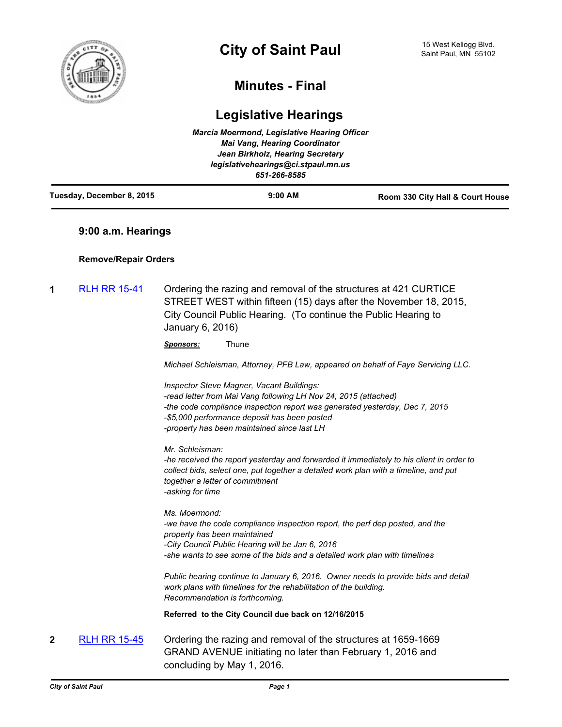

# **Minutes - Final**

# **Legislative Hearings**

| Tuesday, December 8, 2015 | $9:00$ AM                                           | Room 330 City Hall & Court House |
|---------------------------|-----------------------------------------------------|----------------------------------|
|                           | legislativehearings@ci.stpaul.mn.us<br>651-266-8585 |                                  |
|                           | Jean Birkholz, Hearing Secretary                    |                                  |
|                           | <b>Mai Vang, Hearing Coordinator</b>                |                                  |
|                           | <b>Marcia Moermond, Legislative Hearing Officer</b> |                                  |

# **9:00 a.m. Hearings**

# **Remove/Repair Orders**

**1** [RLH RR 15-41](http://stpaul.legistar.com/gateway.aspx?m=l&id=/matter.aspx?key=19851) Ordering the razing and removal of the structures at 421 CURTICE STREET WEST within fifteen (15) days after the November 18, 2015, City Council Public Hearing. (To continue the Public Hearing to January 6, 2016)

*Sponsors:* Thune

*Michael Schleisman, Attorney, PFB Law, appeared on behalf of Faye Servicing LLC.*

*Inspector Steve Magner, Vacant Buildings: -read letter from Mai Vang following LH Nov 24, 2015 (attached) -the code compliance inspection report was generated yesterday, Dec 7, 2015 -\$5,000 performance deposit has been posted -property has been maintained since last LH*

*Mr. Schleisman:*

*-he received the report yesterday and forwarded it immediately to his client in order to collect bids, select one, put together a detailed work plan with a timeline, and put together a letter of commitment -asking for time*

*Ms. Moermond: -we have the code compliance inspection report, the perf dep posted, and the property has been maintained -City Council Public Hearing will be Jan 6, 2016 -she wants to see some of the bids and a detailed work plan with timelines*

*Public hearing continue to January 6, 2016. Owner needs to provide bids and detail work plans with timelines for the rehabilitation of the building. Recommendation is forthcoming.*

**Referred to the City Council due back on 12/16/2015**

**2** [RLH RR 15-45](http://stpaul.legistar.com/gateway.aspx?m=l&id=/matter.aspx?key=20150) Ordering the razing and removal of the structures at 1659-1669 GRAND AVENUE initiating no later than February 1, 2016 and concluding by May 1, 2016.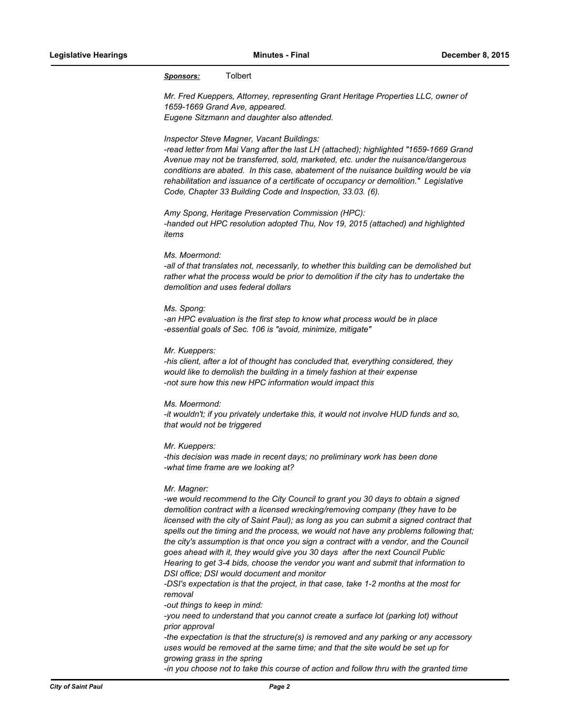# *Sponsors:* Tolbert

*Mr. Fred Kueppers, Attorney, representing Grant Heritage Properties LLC, owner of 1659-1669 Grand Ave, appeared. Eugene Sitzmann and daughter also attended.*

#### *Inspector Steve Magner, Vacant Buildings:*

*-read letter from Mai Vang after the last LH (attached); highlighted "1659-1669 Grand Avenue may not be transferred, sold, marketed, etc. under the nuisance/dangerous conditions are abated. In this case, abatement of the nuisance building would be via rehabilitation and issuance of a certificate of occupancy or demolition." Legislative Code, Chapter 33 Building Code and Inspection, 33.03. (6).*

*Amy Spong, Heritage Preservation Commission (HPC): -handed out HPC resolution adopted Thu, Nov 19, 2015 (attached) and highlighted items*

#### *Ms. Moermond:*

*-all of that translates not, necessarily, to whether this building can be demolished but rather what the process would be prior to demolition if the city has to undertake the demolition and uses federal dollars*

## *Ms. Spong:*

*-an HPC evaluation is the first step to know what process would be in place -essential goals of Sec. 106 is "avoid, minimize, mitigate"*

#### *Mr. Kueppers:*

*-his client, after a lot of thought has concluded that, everything considered, they would like to demolish the building in a timely fashion at their expense -not sure how this new HPC information would impact this*

#### *Ms. Moermond:*

*-it wouldn't; if you privately undertake this, it would not involve HUD funds and so, that would not be triggered*

#### *Mr. Kueppers:*

*-this decision was made in recent days; no preliminary work has been done -what time frame are we looking at?*

#### *Mr. Magner:*

*-we would recommend to the City Council to grant you 30 days to obtain a signed demolition contract with a licensed wrecking/removing company (they have to be licensed with the city of Saint Paul); as long as you can submit a signed contract that spells out the timing and the process, we would not have any problems following that; the city's assumption is that once you sign a contract with a vendor, and the Council goes ahead with it, they would give you 30 days after the next Council Public Hearing to get 3-4 bids, choose the vendor you want and submit that information to DSI office; DSI would document and monitor*

*-DSI's expectation is that the project, in that case, take 1-2 months at the most for removal*

*-out things to keep in mind:*

*-you need to understand that you cannot create a surface lot (parking lot) without prior approval*

*-the expectation is that the structure(s) is removed and any parking or any accessory uses would be removed at the same time; and that the site would be set up for growing grass in the spring*

*-in you choose not to take this course of action and follow thru with the granted time*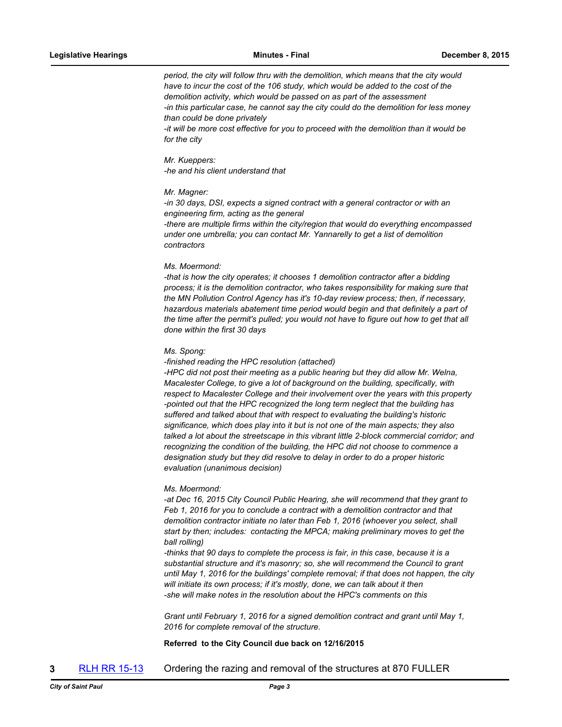*period, the city will follow thru with the demolition, which means that the city would have to incur the cost of the 106 study, which would be added to the cost of the demolition activity, which would be passed on as part of the assessment -in this particular case, he cannot say the city could do the demolition for less money than could be done privately*

*-it will be more cost effective for you to proceed with the demolition than it would be for the city*

#### *Mr. Kueppers:*

*-he and his client understand that*

#### *Mr. Magner:*

*-in 30 days, DSI, expects a signed contract with a general contractor or with an engineering firm, acting as the general*

*-there are multiple firms within the city/region that would do everything encompassed under one umbrella; you can contact Mr. Yannarelly to get a list of demolition contractors*

#### *Ms. Moermond:*

*-that is how the city operates; it chooses 1 demolition contractor after a bidding process; it is the demolition contractor, who takes responsibility for making sure that the MN Pollution Control Agency has it's 10-day review process; then, if necessary, hazardous materials abatement time period would begin and that definitely a part of the time after the permit's pulled; you would not have to figure out how to get that all done within the first 30 days*

#### *Ms. Spong:*

*-finished reading the HPC resolution (attached)*

*-HPC did not post their meeting as a public hearing but they did allow Mr. Welna, Macalester College, to give a lot of background on the building, specifically, with respect to Macalester College and their involvement over the years with this property -pointed out that the HPC recognized the long term neglect that the building has suffered and talked about that with respect to evaluating the building's historic significance, which does play into it but is not one of the main aspects; they also talked a lot about the streetscape in this vibrant little 2-block commercial corridor; and recognizing the condition of the building, the HPC did not choose to commence a designation study but they did resolve to delay in order to do a proper historic evaluation (unanimous decision)*

#### *Ms. Moermond:*

*-at Dec 16, 2015 City Council Public Hearing, she will recommend that they grant to Feb 1, 2016 for you to conclude a contract with a demolition contractor and that demolition contractor initiate no later than Feb 1, 2016 (whoever you select, shall start by then; includes: contacting the MPCA; making preliminary moves to get the ball rolling)*

*-thinks that 90 days to complete the process is fair, in this case, because it is a substantial structure and it's masonry; so, she will recommend the Council to grant until May 1, 2016 for the buildings' complete removal; if that does not happen, the city*  will initiate its own process; if it's mostly, done, we can talk about it then *-she will make notes in the resolution about the HPC's comments on this*

*Grant until February 1, 2016 for a signed demolition contract and grant until May 1, 2016 for complete removal of the structure.*

## **Referred to the City Council due back on 12/16/2015**

**3** [RLH RR 15-13](http://stpaul.legistar.com/gateway.aspx?m=l&id=/matter.aspx?key=18442) Ordering the razing and removal of the structures at 870 FULLER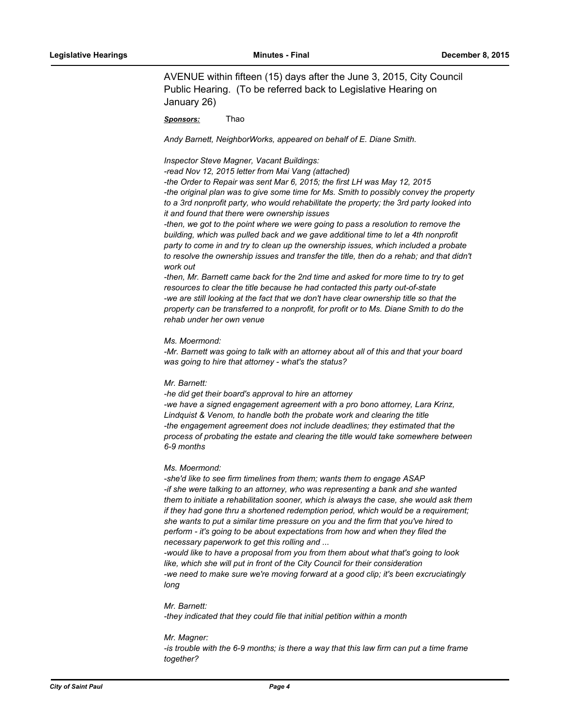AVENUE within fifteen (15) days after the June 3, 2015, City Council Public Hearing. (To be referred back to Legislative Hearing on January 26)

*Sponsors:* Thao

*Andy Barnett, NeighborWorks, appeared on behalf of E. Diane Smith.*

*Inspector Steve Magner, Vacant Buildings:*

*-read Nov 12, 2015 letter from Mai Vang (attached)*

*-the Order to Repair was sent Mar 6, 2015; the first LH was May 12, 2015 -the original plan was to give some time for Ms. Smith to possibly convey the property to a 3rd nonprofit party, who would rehabilitate the property; the 3rd party looked into it and found that there were ownership issues*

*-then, we got to the point where we were going to pass a resolution to remove the building, which was pulled back and we gave additional time to let a 4th nonprofit party to come in and try to clean up the ownership issues, which included a probate to resolve the ownership issues and transfer the title, then do a rehab; and that didn't work out*

*-then, Mr. Barnett came back for the 2nd time and asked for more time to try to get resources to clear the title because he had contacted this party out-of-state -we are still looking at the fact that we don't have clear ownership title so that the property can be transferred to a nonprofit, for profit or to Ms. Diane Smith to do the rehab under her own venue*

#### *Ms. Moermond:*

-Mr. Barnett was going to talk with an attorney about all of this and that your board *was going to hire that attorney - what's the status?*

#### *Mr. Barnett:*

*-he did get their board's approval to hire an attorney* -we have a signed engagement agreement with a pro bono attorney, Lara Krinz, *Lindquist & Venom, to handle both the probate work and clearing the title -the engagement agreement does not include deadlines; they estimated that the process of probating the estate and clearing the title would take somewhere between 6-9 months*

#### *Ms. Moermond:*

*-she'd like to see firm timelines from them; wants them to engage ASAP -if she were talking to an attorney, who was representing a bank and she wanted them to initiate a rehabilitation sooner, which is always the case, she would ask them if they had gone thru a shortened redemption period, which would be a requirement; she wants to put a similar time pressure on you and the firm that you've hired to perform - it's going to be about expectations from how and when they filed the necessary paperwork to get this rolling and ...*

*-would like to have a proposal from you from them about what that's going to look like, which she will put in front of the City Council for their consideration -we need to make sure we're moving forward at a good clip; it's been excruciatingly long*

## *Mr. Barnett:*

*-they indicated that they could file that initial petition within a month*

#### *Mr. Magner:*

-is trouble with the 6-9 months; is there a way that this law firm can put a time frame *together?*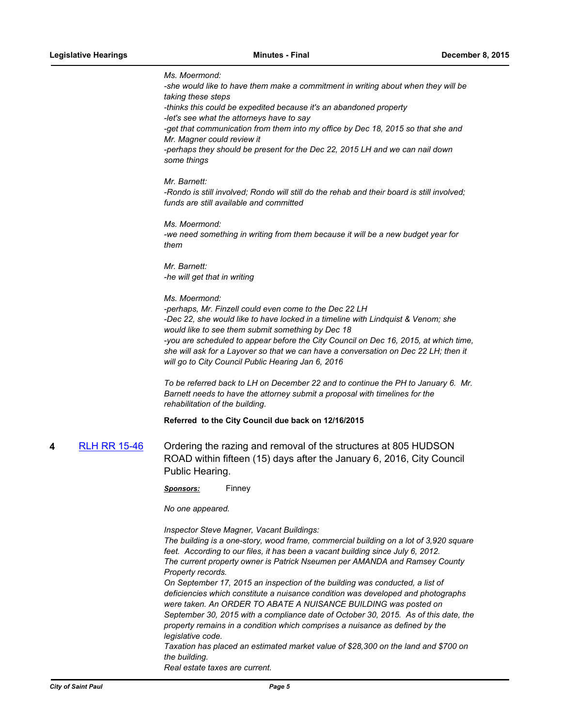*Ms. Moermond: -she would like to have them make a commitment in writing about when they will be taking these steps -thinks this could be expedited because it's an abandoned property -let's see what the attorneys have to say* -get that communication from them into my office by Dec 18, 2015 so that she and *Mr. Magner could review it -perhaps they should be present for the Dec 22, 2015 LH and we can nail down some things Mr. Barnett: -Rondo is still involved; Rondo will still do the rehab and their board is still involved; funds are still available and committed Ms. Moermond: -we need something in writing from them because it will be a new budget year for them Mr. Barnett: -he will get that in writing Ms. Moermond: -perhaps, Mr. Finzell could even come to the Dec 22 LH -Dec 22, she would like to have locked in a timeline with Lindquist & Venom; she would like to see them submit something by Dec 18 -you are scheduled to appear before the City Council on Dec 16, 2015, at which time, she will ask for a Layover so that we can have a conversation on Dec 22 LH; then it will go to City Council Public Hearing Jan 6, 2016 To be referred back to LH on December 22 and to continue the PH to January 6. Mr. Barnett needs to have the attorney submit a proposal with timelines for the rehabilitation of the building.* **Referred to the City Council due back on 12/16/2015 4** [RLH RR 15-46](http://stpaul.legistar.com/gateway.aspx?m=l&id=/matter.aspx?key=20233) Ordering the razing and removal of the structures at 805 HUDSON ROAD within fifteen (15) days after the January 6, 2016, City Council Public Hearing. *Sponsors:* Finney *No one appeared. Inspector Steve Magner, Vacant Buildings:*

*The building is a one-story, wood frame, commercial building on a lot of 3,920 square feet. According to our files, it has been a vacant building since July 6, 2012. The current property owner is Patrick Nseumen per AMANDA and Ramsey County Property records. On September 17, 2015 an inspection of the building was conducted, a list of deficiencies which constitute a nuisance condition was developed and photographs were taken. An ORDER TO ABATE A NUISANCE BUILDING was posted on September 30, 2015 with a compliance date of October 30, 2015. As of this date, the property remains in a condition which comprises a nuisance as defined by the legislative code.*

*Taxation has placed an estimated market value of \$28,300 on the land and \$700 on the building. Real estate taxes are current.*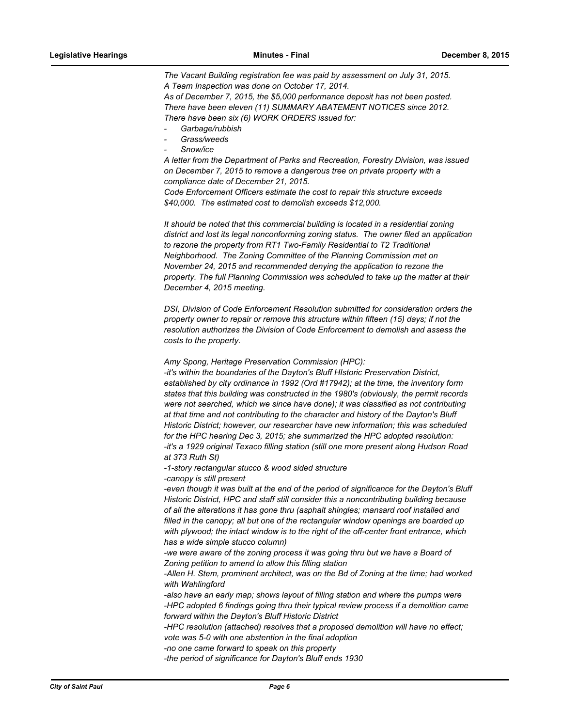*The Vacant Building registration fee was paid by assessment on July 31, 2015. A Team Inspection was done on October 17, 2014. As of December 7, 2015, the \$5,000 performance deposit has not been posted. There have been eleven (11) SUMMARY ABATEMENT NOTICES since 2012.*

*There have been six (6) WORK ORDERS issued for:*

- *- Garbage/rubbish*
- *- Grass/weeds*
- *- Snow/ice*

*A letter from the Department of Parks and Recreation, Forestry Division, was issued on December 7, 2015 to remove a dangerous tree on private property with a compliance date of December 21, 2015.*

*Code Enforcement Officers estimate the cost to repair this structure exceeds \$40,000. The estimated cost to demolish exceeds \$12,000.* 

*It should be noted that this commercial building is located in a residential zoning district and lost its legal nonconforming zoning status. The owner filed an application to rezone the property from RT1 Two-Family Residential to T2 Traditional Neighborhood. The Zoning Committee of the Planning Commission met on November 24, 2015 and recommended denying the application to rezone the property. The full Planning Commission was scheduled to take up the matter at their December 4, 2015 meeting.*

*DSI, Division of Code Enforcement Resolution submitted for consideration orders the property owner to repair or remove this structure within fifteen (15) days; if not the resolution authorizes the Division of Code Enforcement to demolish and assess the costs to the property.*

*Amy Spong, Heritage Preservation Commission (HPC):*

*-it's within the boundaries of the Dayton's Bluff HIstoric Preservation District, established by city ordinance in 1992 (Ord #17942); at the time, the inventory form states that this building was constructed in the 1980's (obviously, the permit records were not searched, which we since have done); it was classified as not contributing at that time and not contributing to the character and history of the Dayton's Bluff Historic District; however, our researcher have new information; this was scheduled for the HPC hearing Dec 3, 2015; she summarized the HPC adopted resolution: -it's a 1929 original Texaco filling station (still one more present along Hudson Road at 373 Ruth St)*

*-1-story rectangular stucco & wood sided structure*

*-canopy is still present*

-even though it was built at the end of the period of significance for the Dayton's Bluff *Historic District, HPC and staff still consider this a noncontributing building because of all the alterations it has gone thru (asphalt shingles; mansard roof installed and filled in the canopy; all but one of the rectangular window openings are boarded up with plywood; the intact window is to the right of the off-center front entrance, which has a wide simple stucco column)*

-we were aware of the zoning process it was going thru but we have a Board of *Zoning petition to amend to allow this filling station*

-Allen H. Stem, prominent architect, was on the Bd of Zoning at the time; had worked *with Wahlingford*

*-also have an early map; shows layout of filling station and where the pumps were -HPC adopted 6 findings going thru their typical review process if a demolition came forward within the Dayton's Bluff Historic District*

*-HPC resolution (attached) resolves that a proposed demolition will have no effect; vote was 5-0 with one abstention in the final adoption*

*-no one came forward to speak on this property*

*-the period of significance for Dayton's Bluff ends 1930*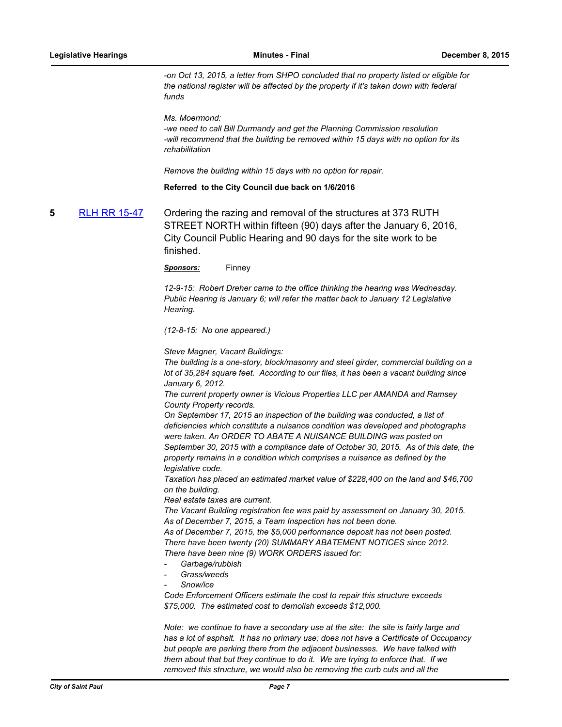*-on Oct 13, 2015, a letter from SHPO concluded that no property listed or eligible for the nationsl register will be affected by the property if it's taken down with federal funds*

*Ms. Moermond:*

*-we need to call Bill Durmandy and get the Planning Commission resolution -will recommend that the building be removed within 15 days with no option for its rehabilitation*

*Remove the building within 15 days with no option for repair.*

**Referred to the City Council due back on 1/6/2016**

**5** [RLH RR 15-47](http://stpaul.legistar.com/gateway.aspx?m=l&id=/matter.aspx?key=20234) Ordering the razing and removal of the structures at 373 RUTH STREET NORTH within fifteen (90) days after the January 6, 2016, City Council Public Hearing and 90 days for the site work to be finished.

*Sponsors:* Finney

*12-9-15: Robert Dreher came to the office thinking the hearing was Wednesday. Public Hearing is January 6; will refer the matter back to January 12 Legislative Hearing.*

*(12-8-15: No one appeared.)*

*Steve Magner, Vacant Buildings:*

*The building is a one-story, block/masonry and steel girder, commercial building on a lot of 35,284 square feet. According to our files, it has been a vacant building since January 6, 2012.*

*The current property owner is Vicious Properties LLC per AMANDA and Ramsey County Property records.*

*On September 17, 2015 an inspection of the building was conducted, a list of deficiencies which constitute a nuisance condition was developed and photographs were taken. An ORDER TO ABATE A NUISANCE BUILDING was posted on September 30, 2015 with a compliance date of October 30, 2015. As of this date, the property remains in a condition which comprises a nuisance as defined by the legislative code.*

*Taxation has placed an estimated market value of \$228,400 on the land and \$46,700 on the building.*

*Real estate taxes are current.*

*The Vacant Building registration fee was paid by assessment on January 30, 2015. As of December 7, 2015, a Team Inspection has not been done.* 

*As of December 7, 2015, the \$5,000 performance deposit has not been posted. There have been twenty (20) SUMMARY ABATEMENT NOTICES since 2012. There have been nine (9) WORK ORDERS issued for:*

- *- Garbage/rubbish*
- *- Grass/weeds*
- *- Snow/ice*

*Code Enforcement Officers estimate the cost to repair this structure exceeds \$75,000. The estimated cost to demolish exceeds \$12,000.*

*Note: we continue to have a secondary use at the site: the site is fairly large and has a lot of asphalt. It has no primary use; does not have a Certificate of Occupancy but people are parking there from the adjacent businesses. We have talked with them about that but they continue to do it. We are trying to enforce that. If we removed this structure, we would also be removing the curb cuts and all the*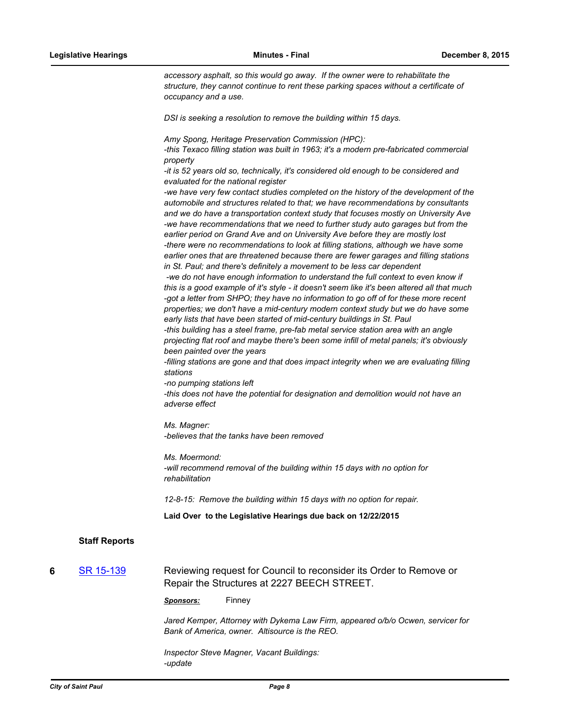*accessory asphalt, so this would go away. If the owner were to rehabilitate the structure, they cannot continue to rent these parking spaces without a certificate of occupancy and a use.*

*DSI is seeking a resolution to remove the building within 15 days.*

*Amy Spong, Heritage Preservation Commission (HPC):*

*-this Texaco filling station was built in 1963; it's a modern pre-fabricated commercial property*

*-it is 52 years old so, technically, it's considered old enough to be considered and evaluated for the national register*

*-we have very few contact studies completed on the history of the development of the automobile and structures related to that; we have recommendations by consultants and we do have a transportation context study that focuses mostly on University Ave -we have recommendations that we need to further study auto garages but from the earlier period on Grand Ave and on University Ave before they are mostly lost -there were no recommendations to look at filling stations, although we have some earlier ones that are threatened because there are fewer garages and filling stations in St. Paul; and there's definitely a movement to be less car dependent* -we do not have enough information to understand the full context to even know if

*this is a good example of it's style - it doesn't seem like it's been altered all that much -got a letter from SHPO; they have no information to go off of for these more recent properties; we don't have a mid-century modern context study but we do have some early lists that have been started of mid-century buildings in St. Paul*

*-this building has a steel frame, pre-fab metal service station area with an angle projecting flat roof and maybe there's been some infill of metal panels; it's obviously been painted over the years*

*-filling stations are gone and that does impact integrity when we are evaluating filling stations*

*-no pumping stations left*

*-this does not have the potential for designation and demolition would not have an adverse effect*

*Ms. Magner: -believes that the tanks have been removed*

*Ms. Moermond: -will recommend removal of the building within 15 days with no option for rehabilitation*

*12-8-15: Remove the building within 15 days with no option for repair.*

**Laid Over to the Legislative Hearings due back on 12/22/2015**

# **Staff Reports**

**6** [SR 15-139](http://stpaul.legistar.com/gateway.aspx?m=l&id=/matter.aspx?key=20232) Reviewing request for Council to reconsider its Order to Remove or Repair the Structures at 2227 BEECH STREET.

*Sponsors:* Finney

*Jared Kemper, Attorney with Dykema Law Firm, appeared o/b/o Ocwen, servicer for Bank of America, owner. Altisource is the REO.*

*Inspector Steve Magner, Vacant Buildings: -update*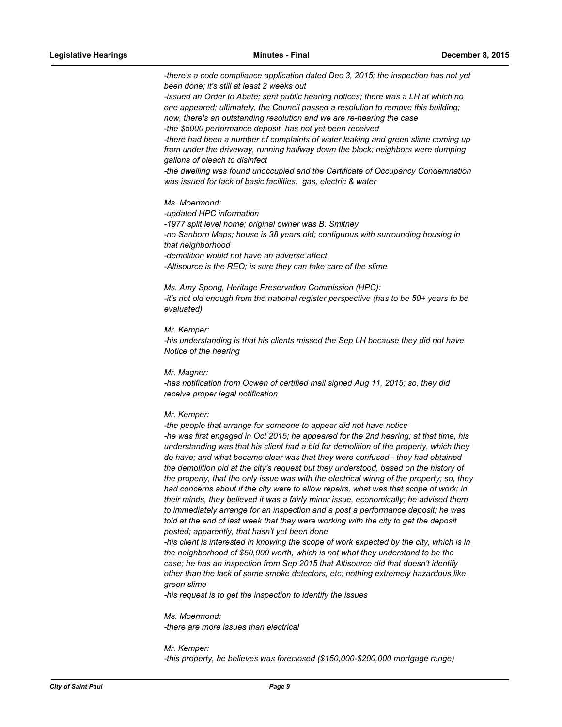*-there's a code compliance application dated Dec 3, 2015; the inspection has not yet been done; it's still at least 2 weeks out*

*-issued an Order to Abate; sent public hearing notices; there was a LH at which no one appeared; ultimately, the Council passed a resolution to remove this building; now, there's an outstanding resolution and we are re-hearing the case -the \$5000 performance deposit has not yet been received* 

*-there had been a number of complaints of water leaking and green slime coming up from under the driveway, running halfway down the block; neighbors were dumping gallons of bleach to disinfect*

*-the dwelling was found unoccupied and the Certificate of Occupancy Condemnation was issued for lack of basic facilities: gas, electric & water*

#### *Ms. Moermond:*

*-updated HPC information*

*-1977 split level home; original owner was B. Smitney -no Sanborn Maps; house is 38 years old; contiguous with surrounding housing in that neighborhood -demolition would not have an adverse affect -Altisource is the REO; is sure they can take care of the slime*

*Ms. Amy Spong, Heritage Preservation Commission (HPC): -it's not old enough from the national register perspective (has to be 50+ years to be evaluated)*

*Mr. Kemper:*

*-his understanding is that his clients missed the Sep LH because they did not have Notice of the hearing*

*Mr. Magner:*

*-has notification from Ocwen of certified mail signed Aug 11, 2015; so, they did receive proper legal notification*

## *Mr. Kemper:*

*-the people that arrange for someone to appear did not have notice -he was first engaged in Oct 2015; he appeared for the 2nd hearing; at that time, his understanding was that his client had a bid for demolition of the property, which they do have; and what became clear was that they were confused - they had obtained the demolition bid at the city's request but they understood, based on the history of the property, that the only issue was with the electrical wiring of the property; so, they had concerns about if the city were to allow repairs, what was that scope of work; in their minds, they believed it was a fairly minor issue, economically; he advised them to immediately arrange for an inspection and a post a performance deposit; he was told at the end of last week that they were working with the city to get the deposit posted; apparently, that hasn't yet been done*

*-his client is interested in knowing the scope of work expected by the city, which is in the neighborhood of \$50,000 worth, which is not what they understand to be the case; he has an inspection from Sep 2015 that Altisource did that doesn't identify other than the lack of some smoke detectors, etc; nothing extremely hazardous like green slime*

*-his request is to get the inspection to identify the issues*

*Ms. Moermond: -there are more issues than electrical*

*Mr. Kemper: -this property, he believes was foreclosed (\$150,000-\$200,000 mortgage range)*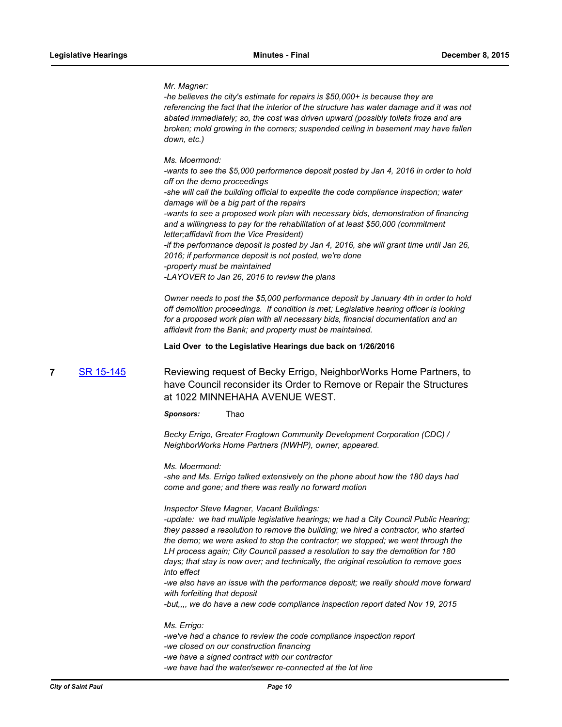## *Mr. Magner:*

*-he believes the city's estimate for repairs is \$50,000+ is because they are referencing the fact that the interior of the structure has water damage and it was not abated immediately; so, the cost was driven upward (possibly toilets froze and are broken; mold growing in the corners; suspended ceiling in basement may have fallen down, etc.)*

## *Ms. Moermond:*

*-wants to see the \$5,000 performance deposit posted by Jan 4, 2016 in order to hold off on the demo proceedings -she will call the building official to expedite the code compliance inspection; water damage will be a big part of the repairs -wants to see a proposed work plan with necessary bids, demonstration of financing and a willingness to pay for the rehabilitation of at least \$50,000 (commitment letter;affidavit from the Vice President) -if the performance deposit is posted by Jan 4, 2016, she will grant time until Jan 26, 2016; if performance deposit is not posted, we're done -property must be maintained -LAYOVER to Jan 26, 2016 to review the plans*

*Owner needs to post the \$5,000 performance deposit by January 4th in order to hold off demolition proceedings. If condition is met; Legislative hearing officer is looking for a proposed work plan with all necessary bids, financial documentation and an affidavit from the Bank; and property must be maintained.*

**Laid Over to the Legislative Hearings due back on 1/26/2016**

**7** [SR 15-145](http://stpaul.legistar.com/gateway.aspx?m=l&id=/matter.aspx?key=20371) Reviewing request of Becky Errigo, NeighborWorks Home Partners, to have Council reconsider its Order to Remove or Repair the Structures at 1022 MINNEHAHA AVENUE WEST.

*Sponsors:* Thao

*Becky Errigo, Greater Frogtown Community Development Corporation (CDC) / NeighborWorks Home Partners (NWHP), owner, appeared.*

#### *Ms. Moermond:*

*-she and Ms. Errigo talked extensively on the phone about how the 180 days had come and gone; and there was really no forward motion*

## *Inspector Steve Magner, Vacant Buildings:*

*-update: we had multiple legislative hearings; we had a City Council Public Hearing; they passed a resolution to remove the building; we hired a contractor, who started the demo; we were asked to stop the contractor; we stopped; we went through the LH process again; City Council passed a resolution to say the demolition for 180 days; that stay is now over; and technically, the original resolution to remove goes into effect*

*-we also have an issue with the performance deposit; we really should move forward with forfeiting that deposit*

*-but,,,, we do have a new code compliance inspection report dated Nov 19, 2015*

# *Ms. Errigo: -we've had a chance to review the code compliance inspection report -we closed on our construction financing -we have a signed contract with our contractor -we have had the water/sewer re-connected at the lot line*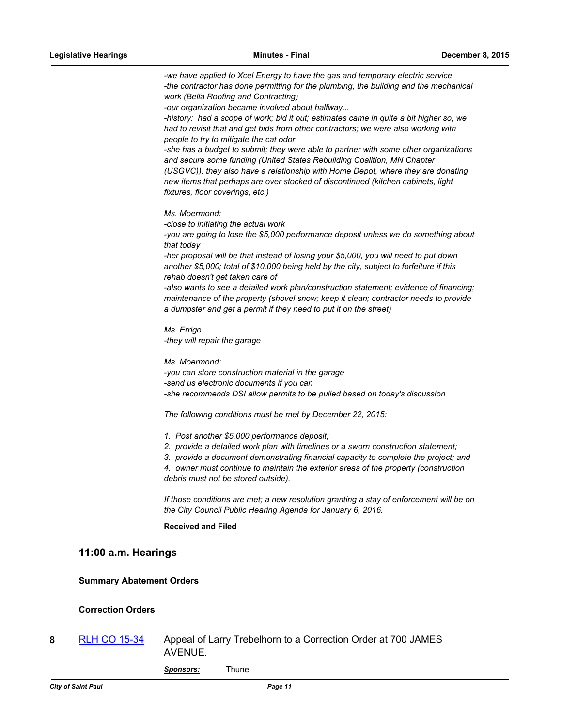*-we have applied to Xcel Energy to have the gas and temporary electric service -the contractor has done permitting for the plumbing, the building and the mechanical work (Bella Roofing and Contracting)*

*-our organization became involved about halfway...*

*-history: had a scope of work; bid it out; estimates came in quite a bit higher so, we had to revisit that and get bids from other contractors; we were also working with people to try to mitigate the cat odor*

*-she has a budget to submit; they were able to partner with some other organizations and secure some funding (United States Rebuilding Coalition, MN Chapter (USGVC)); they also have a relationship with Home Depot, where they are donating new items that perhaps are over stocked of discontinued (kitchen cabinets, light fixtures, floor coverings, etc.)*

*Ms. Moermond:*

*-close to initiating the actual work*

*-you are going to lose the \$5,000 performance deposit unless we do something about that today*

*-her proposal will be that instead of losing your \$5,000, you will need to put down another \$5,000; total of \$10,000 being held by the city, subject to forfeiture if this rehab doesn't get taken care of*

*-also wants to see a detailed work plan/construction statement; evidence of financing; maintenance of the property (shovel snow; keep it clean; contractor needs to provide a dumpster and get a permit if they need to put it on the street)*

*Ms. Errigo: -they will repair the garage*

*Ms. Moermond: -you can store construction material in the garage -send us electronic documents if you can -she recommends DSI allow permits to be pulled based on today's discussion*

*The following conditions must be met by December 22, 2015:*

- *1. Post another \$5,000 performance deposit;*
- *2. provide a detailed work plan with timelines or a sworn construction statement;*
- *3. provide a document demonstrating financial capacity to complete the project; and*

*4. owner must continue to maintain the exterior areas of the property (construction debris must not be stored outside).*

*If those conditions are met; a new resolution granting a stay of enforcement will be on the City Council Public Hearing Agenda for January 6, 2016.*

# **Received and Filed**

# **11:00 a.m. Hearings**

## **Summary Abatement Orders**

# **Correction Orders**

**8** [RLH CO 15-34](http://stpaul.legistar.com/gateway.aspx?m=l&id=/matter.aspx?key=20261) Appeal of Larry Trebelhorn to a Correction Order at 700 JAMES AVENUE.

*Sponsors:* Thune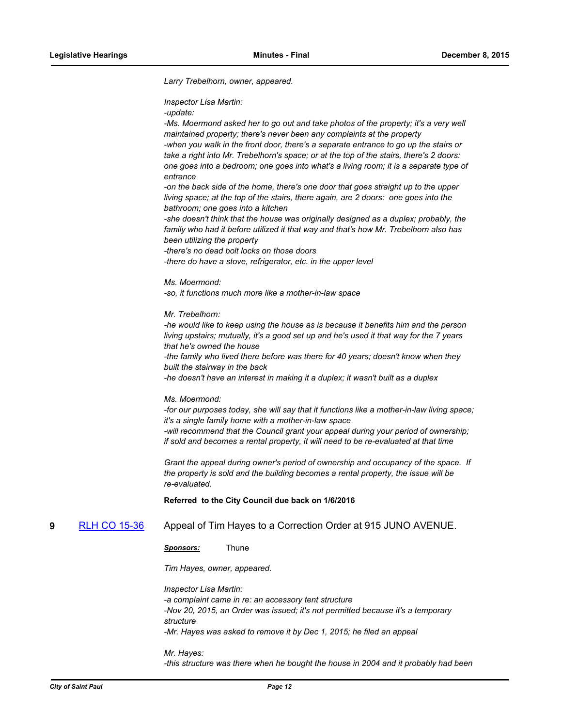*Larry Trebelhorn, owner, appeared.*

*Inspector Lisa Martin:*

*-update:*

-Ms. Moermond asked her to go out and take photos of the property; it's a very well *maintained property; there's never been any complaints at the property -when you walk in the front door, there's a separate entrance to go up the stairs or take a right into Mr. Trebelhorn's space; or at the top of the stairs, there's 2 doors: one goes into a bedroom; one goes into what's a living room; it is a separate type of entrance*

*-on the back side of the home, there's one door that goes straight up to the upper living space; at the top of the stairs, there again, are 2 doors: one goes into the bathroom; one goes into a kitchen*

*-she doesn't think that the house was originally designed as a duplex; probably, the family who had it before utilized it that way and that's how Mr. Trebelhorn also has been utilizing the property*

*-there's no dead bolt locks on those doors*

*-there do have a stove, refrigerator, etc. in the upper level*

*Ms. Moermond:*

*-so, it functions much more like a mother-in-law space*

*Mr. Trebelhorn:*

*-he would like to keep using the house as is because it benefits him and the person living upstairs; mutually, it's a good set up and he's used it that way for the 7 years that he's owned the house*

*-the family who lived there before was there for 40 years; doesn't know when they built the stairway in the back*

*-he doesn't have an interest in making it a duplex; it wasn't built as a duplex*

#### *Ms. Moermond:*

*-for our purposes today, she will say that it functions like a mother-in-law living space; it's a single family home with a mother-in-law space*

*-will recommend that the Council grant your appeal during your period of ownership; if sold and becomes a rental property, it will need to be re-evaluated at that time*

*Grant the appeal during owner's period of ownership and occupancy of the space. If the property is sold and the building becomes a rental property, the issue will be re-evaluated.*

**Referred to the City Council due back on 1/6/2016**

**9** [RLH CO 15-36](http://stpaul.legistar.com/gateway.aspx?m=l&id=/matter.aspx?key=20390) Appeal of Tim Hayes to a Correction Order at 915 JUNO AVENUE.

*Sponsors:* Thune

*Tim Hayes, owner, appeared.*

*Inspector Lisa Martin:*

*-a complaint came in re: an accessory tent structure -Nov 20, 2015, an Order was issued; it's not permitted because it's a temporary structure -Mr. Hayes was asked to remove it by Dec 1, 2015; he filed an appeal*

*Mr. Hayes: -this structure was there when he bought the house in 2004 and it probably had been*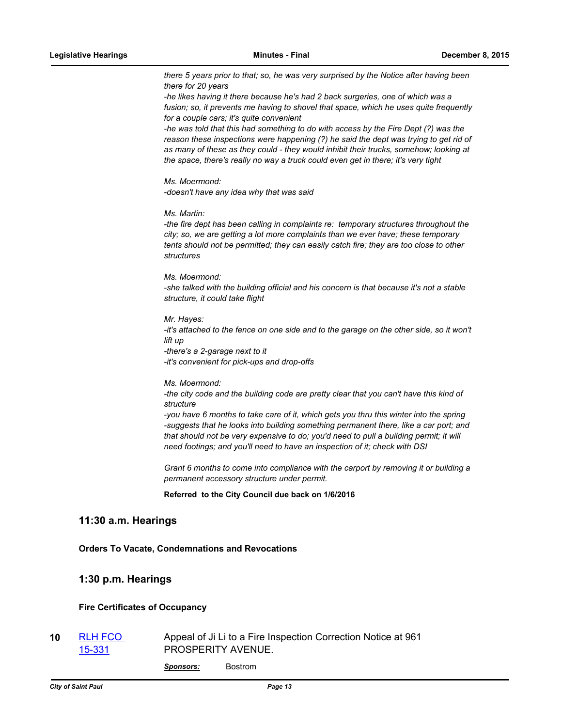*there 5 years prior to that; so, he was very surprised by the Notice after having been there for 20 years*

*-he likes having it there because he's had 2 back surgeries, one of which was a fusion; so, it prevents me having to shovel that space, which he uses quite frequently for a couple cars; it's quite convenient*

*-he was told that this had something to do with access by the Fire Dept (?) was the reason these inspections were happening (?) he said the dept was trying to get rid of as many of these as they could - they would inhibit their trucks, somehow; looking at the space, there's really no way a truck could even get in there; it's very tight*

*Ms. Moermond: -doesn't have any idea why that was said*

*Ms. Martin:*

*-the fire dept has been calling in complaints re: temporary structures throughout the city; so, we are getting a lot more complaints than we ever have; these temporary tents should not be permitted; they can easily catch fire; they are too close to other structures*

*Ms. Moermond: -she talked with the building official and his concern is that because it's not a stable structure, it could take flight*

*Mr. Hayes: -it's attached to the fence on one side and to the garage on the other side, so it won't lift up -there's a 2-garage next to it -it's convenient for pick-ups and drop-offs*

*Ms. Moermond: -the city code and the building code are pretty clear that you can't have this kind of structure*

*-you have 6 months to take care of it, which gets you thru this winter into the spring* -suggests that he looks into building something permanent there, like a car port; and *that should not be very expensive to do; you'd need to pull a building permit; it will need footings; and you'll need to have an inspection of it; check with DSI*

*Grant 6 months to come into compliance with the carport by removing it or building a permanent accessory structure under permit.*

**Referred to the City Council due back on 1/6/2016**

# **11:30 a.m. Hearings**

**Orders To Vacate, Condemnations and Revocations**

# **1:30 p.m. Hearings**

# **Fire Certificates of Occupancy**

**10** [RLH FCO](http://stpaul.legistar.com/gateway.aspx?m=l&id=/matter.aspx?key=20368)  15-331 Appeal of Ji Li to a Fire Inspection Correction Notice at 961 PROSPERITY AVENUE.

*Sponsors:* Bostrom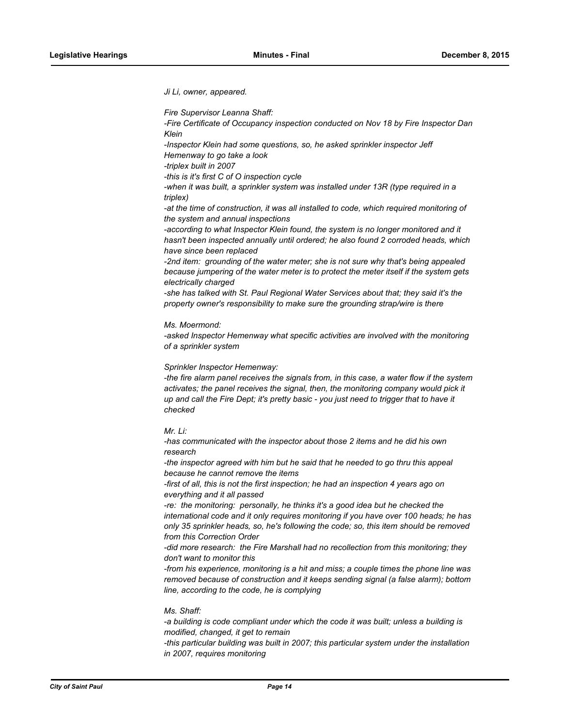*Ji Li, owner, appeared.*

*Fire Supervisor Leanna Shaff:*

*-Fire Certificate of Occupancy inspection conducted on Nov 18 by Fire Inspector Dan Klein*

*-Inspector Klein had some questions, so, he asked sprinkler inspector Jeff Hemenway to go take a look*

*-triplex built in 2007*

*-this is it's first C of O inspection cycle*

*-when it was built, a sprinkler system was installed under 13R (type required in a triplex)*

*-at the time of construction, it was all installed to code, which required monitoring of the system and annual inspections*

*-according to what Inspector Klein found, the system is no longer monitored and it hasn't been inspected annually until ordered; he also found 2 corroded heads, which have since been replaced*

*-2nd item: grounding of the water meter; she is not sure why that's being appealed because jumpering of the water meter is to protect the meter itself if the system gets electrically charged*

*-she has talked with St. Paul Regional Water Services about that; they said it's the property owner's responsibility to make sure the grounding strap/wire is there*

*Ms. Moermond:*

*-asked Inspector Hemenway what specific activities are involved with the monitoring of a sprinkler system*

*Sprinkler Inspector Hemenway:*

*-the fire alarm panel receives the signals from, in this case, a water flow if the system activates; the panel receives the signal, then, the monitoring company would pick it up and call the Fire Dept; it's pretty basic - you just need to trigger that to have it checked*

*Mr. Li:*

*-has communicated with the inspector about those 2 items and he did his own research*

*-the inspector agreed with him but he said that he needed to go thru this appeal because he cannot remove the items*

*-first of all, this is not the first inspection; he had an inspection 4 years ago on everything and it all passed*

*-re: the monitoring: personally, he thinks it's a good idea but he checked the international code and it only requires monitoring if you have over 100 heads; he has only 35 sprinkler heads, so, he's following the code; so, this item should be removed from this Correction Order*

*-did more research: the Fire Marshall had no recollection from this monitoring; they don't want to monitor this*

*-from his experience, monitoring is a hit and miss; a couple times the phone line was removed because of construction and it keeps sending signal (a false alarm); bottom line, according to the code, he is complying*

## *Ms. Shaff:*

*-a building is code compliant under which the code it was built; unless a building is modified, changed, it get to remain*

*-this particular building was built in 2007; this particular system under the installation in 2007, requires monitoring*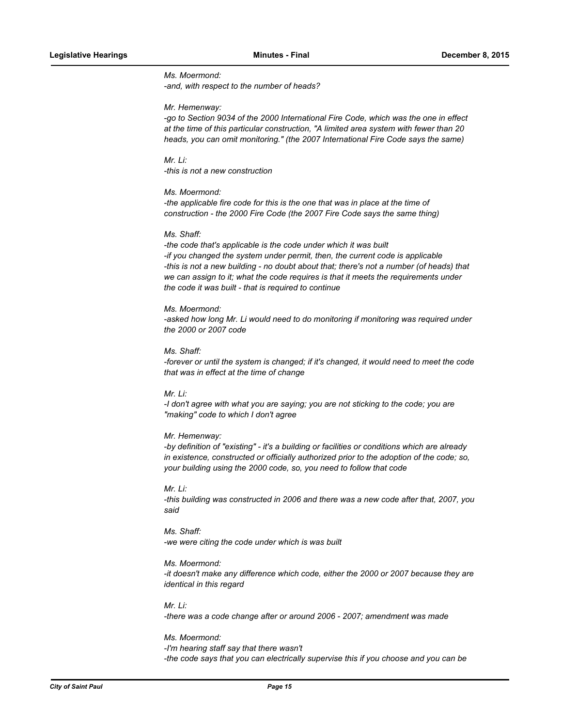# *Ms. Moermond: -and, with respect to the number of heads?*

#### *Mr. Hemenway:*

*-go to Section 9034 of the 2000 International Fire Code, which was the one in effect at the time of this particular construction, "A limited area system with fewer than 20 heads, you can omit monitoring." (the 2007 International Fire Code says the same)*

*Mr. Li: -this is not a new construction*

# *Ms. Moermond:*

*-the applicable fire code for this is the one that was in place at the time of construction - the 2000 Fire Code (the 2007 Fire Code says the same thing)*

#### *Ms. Shaff:*

*-the code that's applicable is the code under which it was built -if you changed the system under permit, then, the current code is applicable -this is not a new building - no doubt about that; there's not a number (of heads) that we can assign to it; what the code requires is that it meets the requirements under the code it was built - that is required to continue*

#### *Ms. Moermond:*

-asked how long Mr. Li would need to do monitoring if monitoring was required under *the 2000 or 2007 code*

#### *Ms. Shaff:*

*-forever or until the system is changed; if it's changed, it would need to meet the code that was in effect at the time of change*

# *Mr. Li:*

*-I don't agree with what you are saying; you are not sticking to the code; you are "making" code to which I don't agree*

## *Mr. Hemenway:*

*-by definition of "existing" - it's a building or facilities or conditions which are already in existence, constructed or officially authorized prior to the adoption of the code; so, your building using the 2000 code, so, you need to follow that code*

# *Mr. Li:*

*-this building was constructed in 2006 and there was a new code after that, 2007, you said*

# *Ms. Shaff: -we were citing the code under which is was built*

# *Ms. Moermond:*

*-it doesn't make any difference which code, either the 2000 or 2007 because they are identical in this regard*

# *Mr. Li:*

*-there was a code change after or around 2006 - 2007; amendment was made*

#### *Ms. Moermond:*

*-I'm hearing staff say that there wasn't -the code says that you can electrically supervise this if you choose and you can be*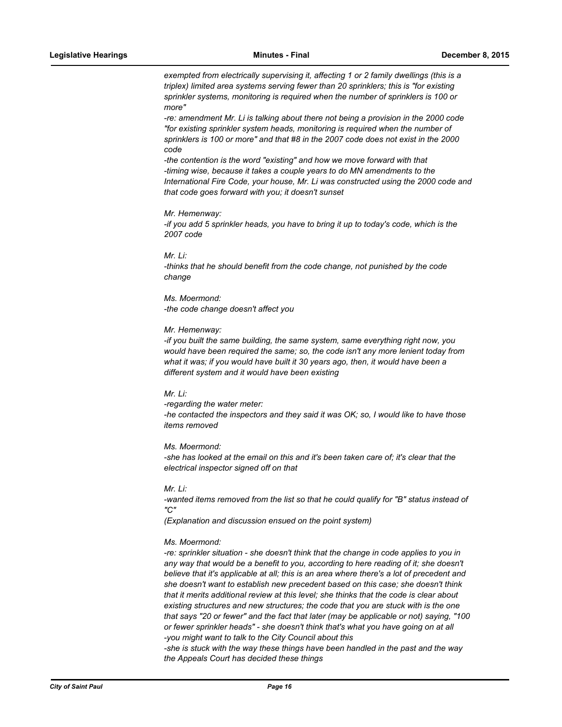*exempted from electrically supervising it, affecting 1 or 2 family dwellings (this is a triplex) limited area systems serving fewer than 20 sprinklers; this is "for existing sprinkler systems, monitoring is required when the number of sprinklers is 100 or more"*

*-re: amendment Mr. Li is talking about there not being a provision in the 2000 code "for existing sprinkler system heads, monitoring is required when the number of sprinklers is 100 or more" and that #8 in the 2007 code does not exist in the 2000 code*

*-the contention is the word "existing" and how we move forward with that -timing wise, because it takes a couple years to do MN amendments to the International Fire Code, your house, Mr. Li was constructed using the 2000 code and that code goes forward with you; it doesn't sunset*

#### *Mr. Hemenway:*

*-if you add 5 sprinkler heads, you have to bring it up to today's code, which is the 2007 code*

#### *Mr. Li:*

*-thinks that he should benefit from the code change, not punished by the code change*

# *Ms. Moermond: -the code change doesn't affect you*

#### *Mr. Hemenway:*

*-if you built the same building, the same system, same everything right now, you would have been required the same; so, the code isn't any more lenient today from*  what it was; if you would have built it 30 years ago, then, it would have been a *different system and it would have been existing*

# *Mr. Li:*

*-regarding the water meter: -he contacted the inspectors and they said it was OK; so, I would like to have those items removed*

## *Ms. Moermond:*

*-she has looked at the email on this and it's been taken care of; it's clear that the electrical inspector signed off on that*

# *Mr. Li:*

*-wanted items removed from the list so that he could qualify for "B" status instead of "C"*

*(Explanation and discussion ensued on the point system)*

## *Ms. Moermond:*

*-re: sprinkler situation - she doesn't think that the change in code applies to you in any way that would be a benefit to you, according to here reading of it; she doesn't believe that it's applicable at all; this is an area where there's a lot of precedent and she doesn't want to establish new precedent based on this case; she doesn't think that it merits additional review at this level; she thinks that the code is clear about existing structures and new structures; the code that you are stuck with is the one that says "20 or fewer" and the fact that later (may be applicable or not) saying, "100 or fewer sprinkler heads" - she doesn't think that's what you have going on at all -you might want to talk to the City Council about this*

*-she is stuck with the way these things have been handled in the past and the way the Appeals Court has decided these things*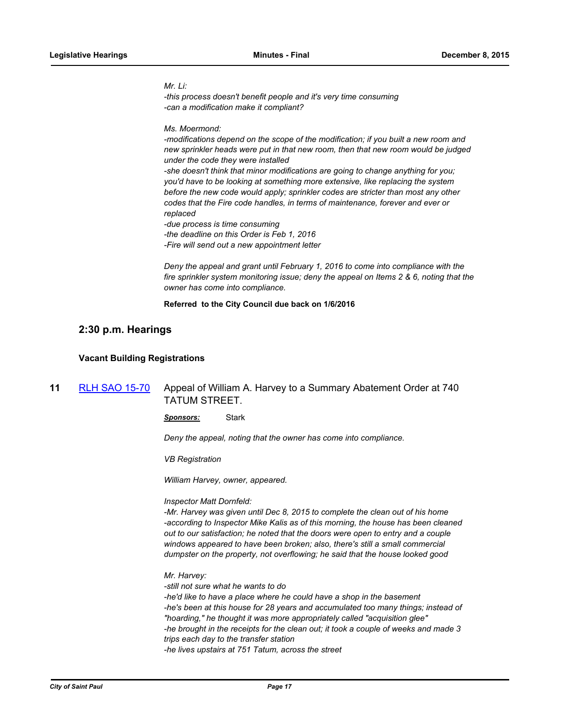# *Mr. Li:*

*-this process doesn't benefit people and it's very time consuming -can a modification make it compliant?*

## *Ms. Moermond:*

*-modifications depend on the scope of the modification; if you built a new room and new sprinkler heads were put in that new room, then that new room would be judged under the code they were installed*

*-she doesn't think that minor modifications are going to change anything for you; you'd have to be looking at something more extensive, like replacing the system before the new code would apply; sprinkler codes are stricter than most any other codes that the Fire code handles, in terms of maintenance, forever and ever or replaced*

*-due process is time consuming -the deadline on this Order is Feb 1, 2016 -Fire will send out a new appointment letter*

*Deny the appeal and grant until February 1, 2016 to come into compliance with the fire sprinkler system monitoring issue; deny the appeal on Items 2 & 6, noting that the owner has come into compliance.*

## **Referred to the City Council due back on 1/6/2016**

# **2:30 p.m. Hearings**

# **Vacant Building Registrations**

# **11** [RLH SAO 15-70](http://stpaul.legistar.com/gateway.aspx?m=l&id=/matter.aspx?key=19973) Appeal of William A. Harvey to a Summary Abatement Order at 740 TATUM STREET.

*Sponsors:* Stark

*Deny the appeal, noting that the owner has come into compliance.*

*VB Registration*

*William Harvey, owner, appeared.*

*Inspector Matt Dornfeld:*

*-Mr. Harvey was given until Dec 8, 2015 to complete the clean out of his home -according to Inspector Mike Kalis as of this morning, the house has been cleaned out to our satisfaction; he noted that the doors were open to entry and a couple windows appeared to have been broken; also, there's still a small commercial dumpster on the property, not overflowing; he said that the house looked good*

*Mr. Harvey:*

*-still not sure what he wants to do -he'd like to have a place where he could have a shop in the basement -he's been at this house for 28 years and accumulated too many things; instead of "hoarding," he thought it was more appropriately called "acquisition glee" -he brought in the receipts for the clean out; it took a couple of weeks and made 3 trips each day to the transfer station -he lives upstairs at 751 Tatum, across the street*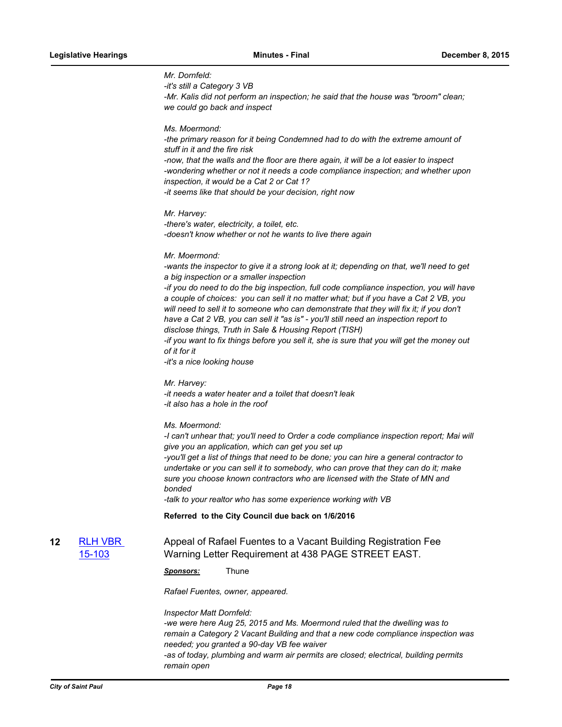# *Mr. Dornfeld:*

*-it's still a Category 3 VB*

*-Mr. Kalis did not perform an inspection; he said that the house was "broom" clean; we could go back and inspect*

*Ms. Moermond:*

*-the primary reason for it being Condemned had to do with the extreme amount of stuff in it and the fire risk -now, that the walls and the floor are there again, it will be a lot easier to inspect -wondering whether or not it needs a code compliance inspection; and whether upon inspection, it would be a Cat 2 or Cat 1?*

*-it seems like that should be your decision, right now*

*Mr. Harvey:*

*-there's water, electricity, a toilet, etc. -doesn't know whether or not he wants to live there again*

#### *Mr. Moermond:*

*-wants the inspector to give it a strong look at it; depending on that, we'll need to get a big inspection or a smaller inspection*

*-if you do need to do the big inspection, full code compliance inspection, you will have a couple of choices: you can sell it no matter what; but if you have a Cat 2 VB, you will need to sell it to someone who can demonstrate that they will fix it; if you don't have a Cat 2 VB, you can sell it "as is" - you'll still need an inspection report to disclose things, Truth in Sale & Housing Report (TISH)* 

*-if you want to fix things before you sell it, she is sure that you will get the money out of it for it*

*-it's a nice looking house*

*Mr. Harvey:*

*-it needs a water heater and a toilet that doesn't leak -it also has a hole in the roof*

# *Ms. Moermond:*

*-I can't unhear that; you'll need to Order a code compliance inspection report; Mai will give you an application, which can get you set up -you'll get a list of things that need to be done; you can hire a general contractor to undertake or you can sell it to somebody, who can prove that they can do it; make sure you choose known contractors who are licensed with the State of MN and* 

*bonded*

*-talk to your realtor who has some experience working with VB*

## **Referred to the City Council due back on 1/6/2016**

**12** 15-103 Appeal of Rafael Fuentes to a Vacant Building Registration Fee Warning Letter Requirement at 438 PAGE STREET EAST.

## *Sponsors:* Thune

*Rafael Fuentes, owner, appeared.*

*Inspector Matt Dornfeld:*

*-we were here Aug 25, 2015 and Ms. Moermond ruled that the dwelling was to remain a Category 2 Vacant Building and that a new code compliance inspection was needed; you granted a 90-day VB fee waiver*

*-as of today, plumbing and warm air permits are closed; electrical, building permits remain open*